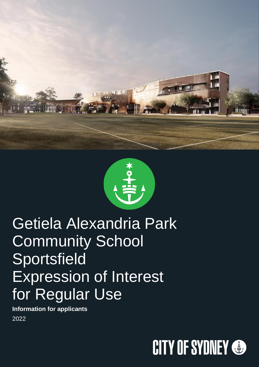



# Getiela Alexandria Park Community School Sportsfield Expression of Interest for Regular Use

**Information for applicants** 2022

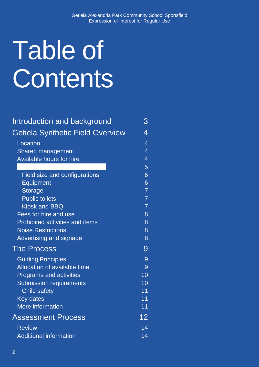# Table of **Contents**

| Introduction and background            | З              |
|----------------------------------------|----------------|
| Getiela Synthetic Field Overview       | 4              |
| Location                               | $\overline{4}$ |
| <b>Shared management</b>               | 4              |
| <b>Available hours for hire</b>        | $\overline{4}$ |
|                                        | 5              |
| <b>Field size and configurations</b>   | 6              |
| Equipment                              | 6              |
| Storage                                | $\overline{7}$ |
| <b>Public toilets</b>                  | $\overline{7}$ |
| <b>Kiosk and BBQ</b>                   | $\overline{7}$ |
| Fees for hire and use                  | 8              |
| <b>Prohibited activities and items</b> | 8              |
| <b>Noise Restrictions</b>              | 8              |
| Advertising and signage                | 8              |
| <b>The Process</b>                     | 9              |
| <b>Guiding Principles</b>              | 9              |
| Allocation of available time           | 9              |
| <b>Programs and activities</b>         | 10             |
| <b>Submission requirements</b>         | 10             |
| <b>Child safety</b>                    | 11             |
| <b>Key dates</b>                       | 11             |
| More information                       | 11             |
| <b>Assessment Process</b>              | 12             |
| <b>Review</b>                          | 14             |
| <b>Additional information</b>          | 14             |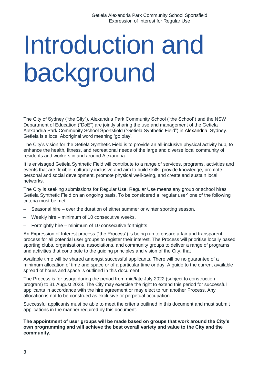# <span id="page-2-0"></span>Introduction and background

The City of Sydney ("the City"), Alexandria Park Community School ("the School") and the NSW Department of Education ("DoE") are jointly sharing the use and management of the Getiela Alexandria Park Community School Sportsfield ("Getiela Synthetic Field") in Alexandria, Sydney. Getiela is a local Aboriginal word meaning 'go play'.

The City's vision for the Getiela Synthetic Field is to provide an all-inclusive physical activity hub, to enhance the health, fitness, and recreational needs of the large and diverse local community of residents and workers in and around Alexandria.

It is envisaged Getiela Synthetic Field will contribute to a range of services, programs, activities and events that are flexible, culturally inclusive and aim to build skills, provide knowledge, promote personal and social development, promote physical well-being, and create and sustain local networks.

The City is seeking submissions for Regular Use. Regular Use means any group or school hires Getiela Synthetic Field on an ongoing basis. To be considered a 'regular user' one of the following criteria must be met:

- Seasonal hire over the duration of either summer or winter sporting season.
- Weekly hire minimum of 10 consecutive weeks.
- Fortnightly hire minimum of 10 consecutive fortnights.

An Expression of Interest process ("the Process") is being run to ensure a fair and transparent process for all potential user groups to register their interest. The Process will prioritise locally based sporting clubs, organisations, associations, and community groups to deliver a range of programs and activities that contribute to the guiding principles and vision of the City. that

Available time will be shared amongst successful applicants. There will be no guarantee of a minimum allocation of time and space or of a particular time or day. A guide to the current available spread of hours and space is outlined in this document.

The Process is for usage during the period from mid/late July 2022 (subject to construction program) to 31 August 2023. The City may exercise the right to extend this period for successful applicants in accordance with the hire agreement or may elect to run another Process. Any allocation is not to be construed as exclusive or perpetual occupation.

Successful applicants must be able to meet the criteria outlined in this document and must submit applications in the manner required by this document.

**The appointment of user groups will be made based on groups that work around the City's own programming and will achieve the best overall variety and value to the City and the community.**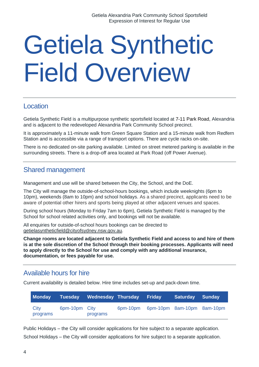# <span id="page-3-0"></span>Getiela Synthetic Field Overview

### <span id="page-3-1"></span>Location

Getiela Synthetic Field is a multipurpose synthetic sportsfield located at 7-11 Park Road, Alexandria and is adjacent to the redeveloped Alexandria Park Community School precinct.

It is approximately a 11-minute walk from Green Square Station and a 15-minute walk from Redfern Station and is accessible via a range of transport options. There are cycle racks on-site.

There is no dedicated on-site parking available. Limited on street metered parking is available in the surrounding streets. There is a drop-off area located at Park Road (off Power Avenue).

### <span id="page-3-2"></span>Shared management

Management and use will be shared between the City, the School, and the DoE.

The City will manage the outside-of-school-hours bookings, which include weeknights (6pm to 10pm), weekends (8am to 10pm) and school holidays. As a shared precinct, applicants need to be aware of potential other hirers and sports being played at other adjacent venues and spaces.

During school hours (Monday to Friday 7am to 6pm), Getiela Synthetic Field is managed by the School for school related activities only, and bookings will not be available.

All enquiries for outside-of-school hours bookings can be directed to [getielasyntheticfield@cityofsydney.nsw.gov.au.](mailto:getielasyntheticfield@cityofsydney.nsw.gov.au)

**Change rooms are located adjacent to Getiela Synthetic Field and access to and hire of them is at the sole discretion of the School through their booking processes. Applicants will need to apply directly to the School for use and comply with any additional insurance, documentation, or fees payable for use.**

### <span id="page-3-3"></span>Available hours for hire

Current availability is detailed below. Hire time includes set-up and pack-down time.

| <b>Monday</b>    |               | Tuesday Wednesday Thursday Friday |                                     | Saturday Sunday |  |
|------------------|---------------|-----------------------------------|-------------------------------------|-----------------|--|
| City<br>programs | 6pm-10pm City | programs                          | 6pm-10pm 6pm-10pm 8am-10pm 8am-10pm |                 |  |

Public Holidays – the City will consider applications for hire subject to a separate application. School Holidays – the City will consider applications for hire subject to a separate application.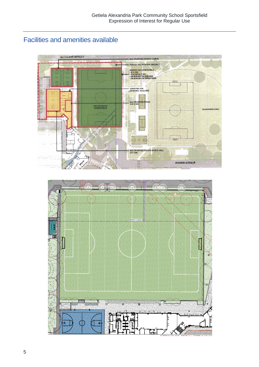# <span id="page-4-0"></span>Facilities and amenities available



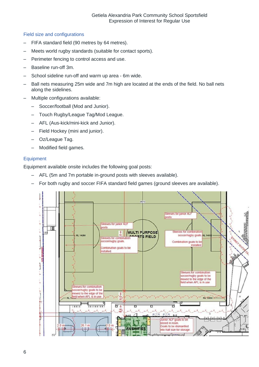### <span id="page-5-0"></span>Field size and configurations

- FIFA standard field (90 metres by 64 metres).
- Meets world rugby standards (suitable for contact sports).
- Perimeter fencing to control access and use.
- Baseline run-off 3m.
- School sideline run-off and warm up area 6m wide.
- Ball nets measuring 25m wide and 7m high are located at the ends of the field. No ball nets along the sidelines.
- Multiple configurations available:
	- Soccer/football (Mod and Junior).
	- Touch Rugby/League Tag/Mod League.
	- AFL (Aus-kick/mini-kick and Junior).
	- Field Hockey (mini and junior).
	- Oz/League Tag.
	- Modified field games.

### <span id="page-5-1"></span>**Equipment**

Equipment available onsite includes the following goal posts:

- AFL (5m and 7m portable in-ground posts with sleeves available).
- For both rugby and soccer FIFA standard field games (ground sleeves are available).

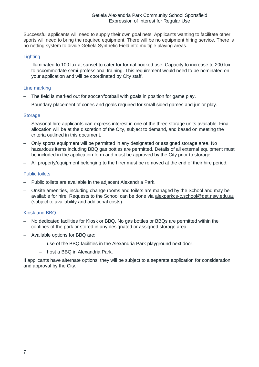Successful applicants will need to supply their own goal nets. Applicants wanting to facilitate other sports will need to bring the required equipment. There will be no equipment hiring service. There is no netting system to divide Getiela Synthetic Field into multiple playing areas.

### **Lighting**

– Illuminated to 100 lux at sunset to cater for formal booked use. Capacity to increase to 200 lux to accommodate semi-professional training. This requirement would need to be nominated on your application and will be coordinated by City staff.

### Line marking

- The field is marked out for soccer/football with goals in position for game play.
- Boundary placement of cones and goals required for small sided games and junior play.

#### <span id="page-6-0"></span>**Storage**

- Seasonal hire applicants can express interest in one of the three storage units available. Final allocation will be at the discretion of the City, subject to demand, and based on meeting the criteria outlined in this document.
- Only sports equipment will be permitted in any designated or assigned storage area. No hazardous items including BBQ gas bottles are permitted. Details of all external equipment must be included in the application form and must be approved by the City prior to storage.
- All property/equipment belonging to the hirer must be removed at the end of their hire period.

#### <span id="page-6-1"></span>Public toilets

- Public toilets are available in the adjacent Alexandria Park.
- Onsite amenities, including change rooms and toilets are managed by the School and may be available for hire. Requests to the School can be done via [alexparkcs-c.school@det.nsw.edu.au](mailto:alexparkcs-c.school@det.nsw.edu.au) (subject to availability and additional costs).

#### <span id="page-6-2"></span>Kiosk and BBQ

- No dedicated facilities for Kiosk or BBQ. No gas bottles or BBQs are permitted within the confines of the park or stored in any designated or assigned storage area.
- − Available options for BBQ are:
	- − use of the BBQ facilities in the Alexandria Park playground next door.
	- − host a BBQ in Alexandria Park.

If applicants have alternate options, they will be subject to a separate application for consideration and approval by the City.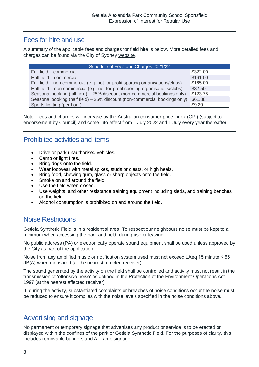### <span id="page-7-0"></span>Fees for hire and use

A summary of the applicable fees and charges for field hire is below. More detailed fees and charges can be found via the City of Sydney [website.](https://www.cityofsydney.nsw.gov.au/council/our-responsibilities/fees-and-charges)

| Schedule of Fees and Charges 2021/22                                           |          |  |  |
|--------------------------------------------------------------------------------|----------|--|--|
| Full field – commercial                                                        | \$322.00 |  |  |
| Half field - commercial                                                        | \$161.00 |  |  |
| Full field – non-commercial (e.g. not-for-profit sporting organisations/clubs) | \$165.00 |  |  |
| Half field – non-commercial (e.g. not-for-profit sporting organisations/clubs) | \$82.50  |  |  |
| Seasonal booking (full field) – 25% discount (non-commercial bookings only)    | \$123.75 |  |  |
| Seasonal booking (half field) – 25% discount (non-commercial bookings only)    | \$61.88  |  |  |
| Sports lighting (per hour)                                                     | \$9.20   |  |  |

Note: Fees and charges will increase by the Australian consumer price index (CPI) (subject to endorsement by Council) and come into effect from 1 July 2022 and 1 July every year thereafter.

### <span id="page-7-1"></span>Prohibited activities and items

- Drive or park unauthorised vehicles.
- Camp or light fires.
- Bring dogs onto the field.
- Wear footwear with metal spikes, studs or cleats, or high heels.
- Bring food, chewing gum, glass or sharp objects onto the field.
- Smoke on and around the field.
- Use the field when closed.
- Use weights, and other resistance training equipment including sleds, and training benches on the field.
- Alcohol consumption is prohibited on and around the field.

### <span id="page-7-2"></span>Noise Restrictions

Getiela Synthetic Field is in a residential area. To respect our neighbours noise must be kept to a minimum when accessing the park and field, during use or leaving.

No public address (PA) or electronically operate sound equipment shall be used unless approved by the City as part of the application.

Noise from any amplified music or notification system used must not exceed LAeq 15 minute ≤ 65 dB(A) when measured (at the nearest affected receiver).

The sound generated by the activity on the field shall be controlled and activity must not result in the transmission of 'offensive noise' as defined in the Protection of the Environment Operations Act 1997 (at the nearest affected receiver).

If, during the activity, substantiated complaints or breaches of noise conditions occur the noise must be reduced to ensure it complies with the noise levels specified in the noise conditions above.

### <span id="page-7-3"></span>Advertising and signage

No permanent or temporary signage that advertises any product or service is to be erected or displayed within the confines of the park or Getiela Synthetic Field. For the purposes of clarity, this includes removable banners and A Frame signage.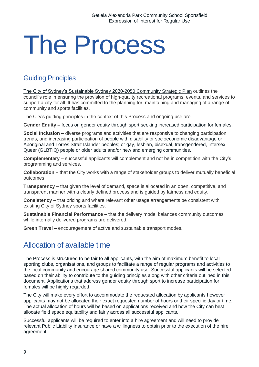# <span id="page-8-0"></span>The Process

### <span id="page-8-1"></span>Guiding Principles

[The City of Sydney's Sustainable Sydney 2030-2050 Community Strategic Plan](https://www.cityofsydney.nsw.gov.au/vision/sustainable-sydney-2030) outlines the council's role in ensuring the provision of high-quality recreational programs, events, and services to support a city for all. It has committed to the planning for, maintaining and managing of a range of community and sports facilities.

The City's guiding principles in the context of this Process and ongoing use are:

**Gender Equity –** focus on gender equity through sport seeking increased participation for females.

**Social Inclusion –** diverse programs and activities that are responsive to changing participation trends, and increasing participation of people with disability or socioeconomic disadvantage or Aboriginal and Torres Strait Islander peoples; or gay, lesbian, bisexual, transgendered, Intersex, Queer (GLBTIQ) people or older adults and/or new and emerging communities.

**Complementary –** successful applicants will complement and not be in competition with the City's programming and services.

**Collaboration –** that the City works with a range of stakeholder groups to deliver mutually beneficial outcomes.

**Transparency –** that given the level of demand, space is allocated in an open, competitive, and transparent manner with a clearly defined process and is guided by fairness and equity.

**Consistency –** that pricing and where relevant other usage arrangements be consistent with existing City of Sydney sports facilities.

**Sustainable Financial Performance –** that the delivery model balances community outcomes while internally delivered programs are delivered.

**Green Travel –** encouragement of active and sustainable transport modes.

# <span id="page-8-2"></span>Allocation of available time

The Process is structured to be fair to all applicants, with the aim of maximum benefit to local sporting clubs, organisations, and groups to facilitate a range of regular programs and activities to the local community and encourage shared community use. Successful applicants will be selected based on their ability to contribute to the guiding principles along with other criteria outlined in this document. Applications that address gender equity through sport to increase participation for females will be highly regarded.

The City will make every effort to accommodate the requested allocation by applicants however applicants may not be allocated their exact requested number of hours or their specific day or time. The actual allocation of hours will be based on applications received and how the City can best allocate field space equitability and fairly across all successful applicants.

Successful applicants will be required to enter into a hire agreement and will need to provide relevant Public Liability Insurance or have a willingness to obtain prior to the execution of the hire agreement.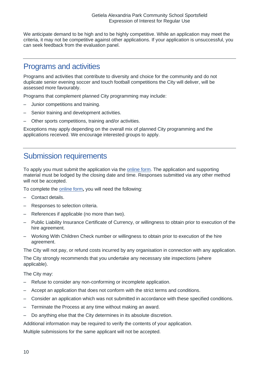We anticipate demand to be high and to be highly competitive. While an application may meet the criteria, it may not be competitive against other applications. If your application is unsuccessful, you can seek feedback from the evaluation panel.

### <span id="page-9-0"></span>Programs and activities

Programs and activities that contribute to diversity and choice for the community and do not duplicate senior evening soccer and touch football competitions the City will deliver, will be assessed more favourably.

Programs that complement planned City programming may include:

- Junior competitions and training.
- Senior training and development activities.
- Other sports competitions, training and/or activities.

Exceptions may apply depending on the overall mix of planned City programming and the applications received. We encourage interested groups to apply.

# <span id="page-9-1"></span>Submission requirements

To apply you must submit the application via the [online form.](https://www.cognitoforms.com/CityOfSydney1/GetielaAlexandriaParkCommunitySchoolSportsfield) The application and supporting material must be lodged by the closing date and time. Responses submitted via any other method will not be accepted.

To complete the [online form](https://www.cognitoforms.com/CityOfSydney1/GetielaAlexandriaParkCommunitySchoolSportsfield)**,** you will need the following:

- Contact details.
- Responses to selection criteria.
- References if applicable (no more than two).
- Public Liability Insurance Certificate of Currency, or willingness to obtain prior to execution of the hire agreement.
- Working With Children Check number or willingness to obtain prior to execution of the hire agreement.

The City will not pay, or refund costs incurred by any organisation in connection with any application.

The City strongly recommends that you undertake any necessary site inspections (where applicable).

The City may:

- Refuse to consider any non-conforming or incomplete application.
- Accept an application that does not conform with the strict terms and conditions.
- Consider an application which was not submitted in accordance with these specified conditions.
- Terminate the Process at any time without making an award.
- Do anything else that the City determines in its absolute discretion.

Additional information may be required to verify the contents of your application.

Multiple submissions for the same applicant will not be accepted.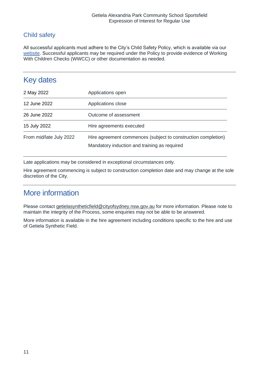### <span id="page-10-0"></span>Child safety

All successful applicants must adhere to the City's Child Safety Policy, which is available via our [website.](https://www.cityofsydney.nsw.gov.au/policies/child-safety-policy) Successful applicants may be required under the Policy to provide evidence of Working With Children Checks (WWCC) or other documentation as needed.

# <span id="page-10-1"></span>Key dates

| 2 May 2022              | Applications open                                                                                             |
|-------------------------|---------------------------------------------------------------------------------------------------------------|
| 12 June 2022            | Applications close                                                                                            |
| 26 June 2022            | Outcome of assessment                                                                                         |
| 15 July 2022            | Hire agreements executed                                                                                      |
| From mid/late July 2022 | Hire agreement commences (subject to construction completion)<br>Mandatory induction and training as required |

Late applications may be considered in exceptional circumstances only.

Hire agreement commencing is subject to construction completion date and may change at the sole discretion of the City.

# <span id="page-10-2"></span>More information

Please contact [getielasyntheticfield@cityofsydney.nsw.gov.au](mailto:getielasyntheticfield@cityofsydney.nsw.gov.au) for more information. Please note to maintain the integrity of the Process, some enquiries may not be able to be answered.

More information is available in the hire agreement including conditions specific to the hire and use of Getiela Synthetic Field.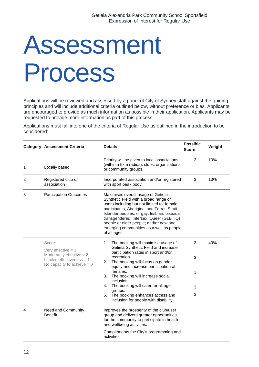# <span id="page-11-0"></span>Assessment Process

Applications will be reviewed and assessed by a panel of City of Sydney staff against the guiding principles and will include additional criteria outlined below, without preference or bias. Applicants are encouraged to provide as much information as possible in their application. Applicants may be requested to provide more information as part of this process.

Applications must fall into one of the criteria of Regular Use as outlined in the introduction to be considered:

|   | <b>Category Assessment Criteria</b>                                                                               | <b>Details</b>                                                                                                                                                                                                                                                                                                                                                           | <b>Possible</b><br><b>Score</b> | Weight |
|---|-------------------------------------------------------------------------------------------------------------------|--------------------------------------------------------------------------------------------------------------------------------------------------------------------------------------------------------------------------------------------------------------------------------------------------------------------------------------------------------------------------|---------------------------------|--------|
| 1 | Locally based                                                                                                     | Priority will be given to local associations<br>(within a 5km radius), clubs, organisations,<br>or community groups.                                                                                                                                                                                                                                                     | 3                               | 10%    |
| 2 | Registered club or<br>association                                                                                 | Incorporated association and/or registered<br>with sport peak body.                                                                                                                                                                                                                                                                                                      | 3                               | 10%    |
| 3 | <b>Participation Outcomes</b>                                                                                     | Maximises overall usage of Getiela<br>Synthetic Field with a broad range of<br>users including but not limited to: female<br>participants, Aboriginal and Torres Strait<br>Islander peoples; or gay, lesbian, bisexual,<br>transgendered, Intersex, Queer (GLBTIQ)<br>people or older people; and/or new and<br>emerging communities as a well as people<br>of all ages. |                                 |        |
|   | Score:                                                                                                            | The booking will maximise usage of<br>1.<br>Getiela Synthetic Field and increase                                                                                                                                                                                                                                                                                         | 3                               | 40%    |
|   | Very effective $=$ 3<br>Moderately effective $= 2$<br>Limited effectiveness $= 1$<br>No capacity to achieve $= 0$ | participation rates in sport and/or                                                                                                                                                                                                                                                                                                                                      |                                 |        |
|   |                                                                                                                   | recreation.<br>The booking will focus on gender<br>2.<br>equity and increase participation of                                                                                                                                                                                                                                                                            | 3                               |        |
|   |                                                                                                                   | females.<br>The booking will increase social<br>3.<br>inclusion.                                                                                                                                                                                                                                                                                                         | 3                               |        |
|   |                                                                                                                   | The booking will cater for all age<br>4.                                                                                                                                                                                                                                                                                                                                 | 3                               |        |
|   |                                                                                                                   | groups.<br>The booking enhances access and<br>5.<br>inclusion for people with disability.                                                                                                                                                                                                                                                                                | 3                               |        |
| 4 | Need and Community<br><b>Benefit</b>                                                                              | Improves the prosperity of the club/user<br>group and delivers greater opportunities<br>for the community to participate in health<br>and wellbeing activities.                                                                                                                                                                                                          |                                 |        |
|   |                                                                                                                   | Complements the City's programming and<br>activities.                                                                                                                                                                                                                                                                                                                    |                                 |        |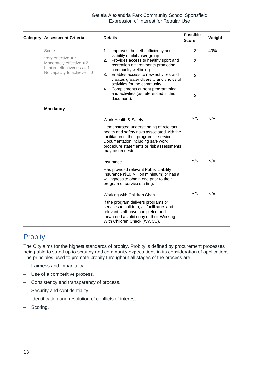### Getiela Alexandria Park Community School Sportsfield Expression of Interest for Regular Use

|                              | <b>Category Assessment Criteria</b>                                               | <b>Possible</b><br><b>Details</b><br><b>Score</b>                                                                                                                                                                                        |     | Weight |
|------------------------------|-----------------------------------------------------------------------------------|------------------------------------------------------------------------------------------------------------------------------------------------------------------------------------------------------------------------------------------|-----|--------|
|                              | Score:                                                                            | Improves the self-sufficiency and<br>1.                                                                                                                                                                                                  | 3   | 40%    |
|                              | Very effective $=$ 3<br>Moderately effective $= 2$<br>Limited effectiveness $= 1$ | viability of club/user group.<br>Provides access to healthy sport and<br>2.<br>recreation environments promoting<br>community wellbeing.                                                                                                 | 3   |        |
|                              | No capacity to achieve $= 0$                                                      | Enables access to new activities and<br>3.<br>creates greater diversity and choice of<br>activities for the community.                                                                                                                   | 3   |        |
|                              |                                                                                   | Complements current programming<br>4.<br>and activities (as referenced in this<br>document).                                                                                                                                             | 3   |        |
|                              | <b>Mandatory</b>                                                                  |                                                                                                                                                                                                                                          |     |        |
|                              |                                                                                   | <b>Work Health &amp; Safety</b>                                                                                                                                                                                                          | Y/N | N/A    |
|                              |                                                                                   | Demonstrated understanding of relevant<br>health and safety risks associated with the<br>facilitation of their program or service.<br>Documentation including safe work<br>procedure statements or risk assessments<br>may be requested. |     |        |
|                              |                                                                                   | Insurance                                                                                                                                                                                                                                |     | N/A    |
| program or service starting. |                                                                                   | Has provided relevant Public Liability<br>Insurance (\$10 Million minimum) or has a<br>willingness to obtain one prior to their                                                                                                          |     |        |
|                              |                                                                                   | <b>Working with Children Check</b>                                                                                                                                                                                                       | Y/N | N/A    |
|                              |                                                                                   | If the program delivers programs or<br>services to children, all facilitators and<br>relevant staff have completed and<br>forwarded a valid copy of their Working<br>With Children Check (WWCC).                                         |     |        |

# **Probity**

The City aims for the highest standards of probity. Probity is defined by procurement processes being able to stand up to scrutiny and community expectations in its consideration of applications. The principles used to promote probity throughout all stages of the process are:

- Fairness and impartiality.
- Use of a competitive process.
- Consistency and transparency of process.
- Security and confidentiality.
- Identification and resolution of conflicts of interest.
- Scoring.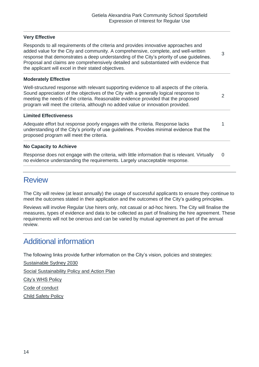2

1

### **Very Effective**

Responds to all requirements of the criteria and provides innovative approaches and added value for the City and community. A comprehensive, complete, and well-written response that demonstrates a deep understanding of the City's priority of use guidelines. Proposal and claims are comprehensively detailed and substantiated with evidence that the applicant will excel in their stated objectives. 3

#### **Moderately Effective**

Well-structured response with relevant supporting evidence to all aspects of the criteria. Sound appreciation of the objectives of the City with a generally logical response to meeting the needs of the criteria. Reasonable evidence provided that the proposed program will meet the criteria, although no added value or innovation provided.

#### **Limited Effectiveness**

Adequate effort but response poorly engages with the criteria. Response lacks understanding of the City's priority of use guidelines. Provides minimal evidence that the proposed program will meet the criteria.

### **No Capacity to Achieve**

Response does not engage with the criteria, with little information that is relevant. Virtually no evidence understanding the requirements. Largely unacceptable response.  $\Omega$ 

### <span id="page-13-0"></span>**Review**

The City will review (at least annually) the usage of successful applicants to ensure they continue to meet the outcomes stated in their application and the outcomes of the City's guiding principles.

Reviews will involve Regular Use hirers only, not casual or ad-hoc hirers. The City will finalise the measures, types of evidence and data to be collected as part of finalising the hire agreement. These requirements will not be onerous and can be varied by mutual agreement as part of the annual review.

# <span id="page-13-1"></span>Additional information

The following links provide further information on the City's vision, policies and strategies:

[Sustainable Sydney 2030](http://www.cityofsydney.nsw.gov.au/vision/sustainable-sydney-2030)

[Social Sustainability Policy and Action Plan](https://www.cityofsydney.nsw.gov.au/vision/sustainable-sydney-2030/communities-and-culture/social-sustainability)

[City's WHS Policy](http://www.cityofsydney.nsw.gov.au/__data/assets/pdf_file/0003/114573/Work-Health-and-Safety-Policy.pdf)

[Code of conduct](http://www.cityofsydney.nsw.gov.au/council/our-responsibilities/governance/code-of-conduct)

[Child Safety Policy](https://www.cityofsydney.nsw.gov.au/policies/child-safety-policy)